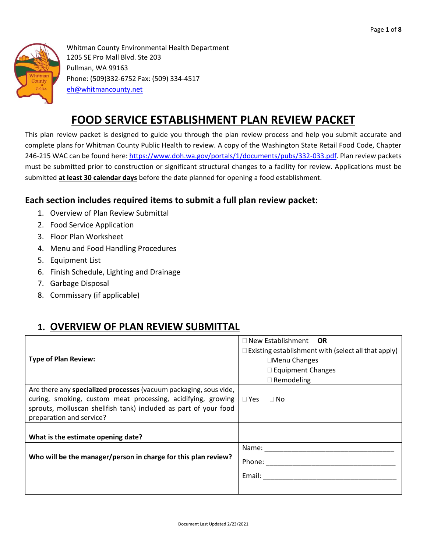

Whitman County Environmental Health Department 1205 SE Pro Mall Blvd. Ste 203 Pullman, WA 99163 Phone: (509)332-6752 Fax: (509) 334-4517 [eh@whitmancounty.net](mailto:eh@whitmancounty.net)

# **FOOD SERVICE ESTABLISHMENT PLAN REVIEW PACKET**

This plan review packet is designed to guide you through the plan review process and help you submit accurate and complete plans for Whitman County Public Health to review. A copy of the Washington State Retail Food Code, Chapter 246-215 WAC can be found here[: https://www.doh.wa.gov/portals/1/documents/pubs/332-033.pdf.](https://www.doh.wa.gov/portals/1/documents/pubs/332-033.pdf) Plan review packets must be submitted prior to construction or significant structural changes to a facility for review. Applications must be submitted **at least 30 calendar days** before the date planned for opening a food establishment.

### **Each section includes required items to submit a full plan review packet:**

- 1. Overview of Plan Review Submittal
- 2. Food Service Application
- 3. Floor Plan Worksheet
- 4. Menu and Food Handling Procedures
- 5. Equipment List
- 6. Finish Schedule, Lighting and Drainage
- 7. Garbage Disposal
- 8. Commissary (if applicable)

### **1. OVERVIEW OF PLAN REVIEW SUBMITTAL**

|                                                                         | $\Box$ New Establishment <b>OR</b>                         |  |  |  |
|-------------------------------------------------------------------------|------------------------------------------------------------|--|--|--|
|                                                                         | $\Box$ Existing establishment with (select all that apply) |  |  |  |
| <b>Type of Plan Review:</b>                                             | □Menu Changes                                              |  |  |  |
|                                                                         | $\Box$ Equipment Changes                                   |  |  |  |
|                                                                         | $\Box$ Remodeling                                          |  |  |  |
| Are there any specialized processes (vacuum packaging, sous vide,       |                                                            |  |  |  |
| curing, smoking, custom meat processing, acidifying, growing $\Box$ Yes | $\Box$ No                                                  |  |  |  |
| sprouts, molluscan shellfish tank) included as part of your food        |                                                            |  |  |  |
| preparation and service?                                                |                                                            |  |  |  |
|                                                                         |                                                            |  |  |  |
| What is the estimate opening date?                                      |                                                            |  |  |  |
|                                                                         | Name:                                                      |  |  |  |
| Who will be the manager/person in charge for this plan review?          | Phone: <u>_________</u>                                    |  |  |  |
|                                                                         | Email:                                                     |  |  |  |
|                                                                         |                                                            |  |  |  |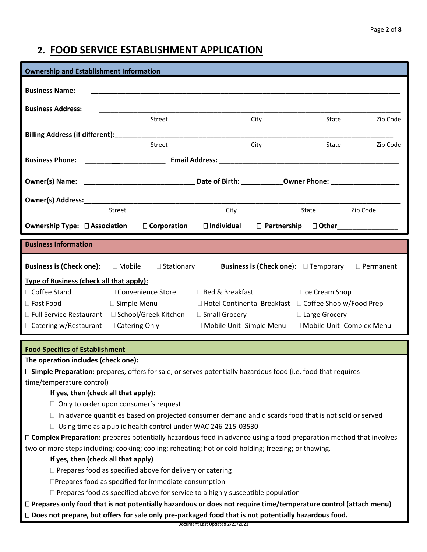### **2. FOOD SERVICE ESTABLISHMENT APPLICATION**

| <b>Ownership and Establishment Information</b>                    |                                                                                                                |                                                                   |                                                  |                 |                  |
|-------------------------------------------------------------------|----------------------------------------------------------------------------------------------------------------|-------------------------------------------------------------------|--------------------------------------------------|-----------------|------------------|
| <b>Business Name:</b>                                             |                                                                                                                |                                                                   |                                                  |                 |                  |
|                                                                   |                                                                                                                |                                                                   |                                                  |                 |                  |
| <b>Business Address:</b>                                          |                                                                                                                |                                                                   |                                                  |                 |                  |
|                                                                   | Street                                                                                                         |                                                                   | City                                             | State           | Zip Code         |
|                                                                   |                                                                                                                |                                                                   |                                                  |                 |                  |
|                                                                   | Street                                                                                                         |                                                                   | City                                             | State           | Zip Code         |
| <b>Business Phone:</b>                                            | <u> 1990 - Johann Barbara, martin a</u>                                                                        |                                                                   |                                                  |                 |                  |
|                                                                   |                                                                                                                |                                                                   |                                                  |                 |                  |
|                                                                   |                                                                                                                |                                                                   |                                                  |                 |                  |
|                                                                   |                                                                                                                |                                                                   |                                                  |                 |                  |
|                                                                   | <b>Street</b>                                                                                                  | City                                                              |                                                  | State           | Zip Code         |
| <b>Ownership Type: □ Association</b>                              | $\Box$ Corporation                                                                                             |                                                                   | □ Individual □ Partnership □ Other______________ |                 |                  |
|                                                                   |                                                                                                                |                                                                   |                                                  |                 |                  |
| <b>Business Information</b>                                       |                                                                                                                |                                                                   |                                                  |                 |                  |
|                                                                   |                                                                                                                |                                                                   |                                                  |                 |                  |
| <b>Business is (Check one):</b>                                   | $\Box$ Mobile<br>$\Box$ Stationary                                                                             |                                                                   | <b>Business is (Check one):</b> $\Box$ Temporary |                 | $\Box$ Permanent |
| Type of Business (check all that apply):                          |                                                                                                                |                                                                   |                                                  |                 |                  |
| □ Coffee Stand                                                    | □ Convenience Store                                                                                            | □ Bed & Breakfast                                                 | □ Ice Cream Shop                                 |                 |                  |
| □ Fast Food                                                       | □ Simple Menu                                                                                                  | $\Box$ Hotel Continental Breakfast $\Box$ Coffee Shop w/Food Prep |                                                  |                 |                  |
|                                                                   | □ Full Service Restaurant □ School/Greek Kitchen                                                               | □ Small Grocery                                                   |                                                  | □ Large Grocery |                  |
| $\Box$ Catering w/Restaurant $\Box$ Catering Only                 |                                                                                                                | □ Mobile Unit- Simple Menu □ Mobile Unit- Complex Menu            |                                                  |                 |                  |
|                                                                   |                                                                                                                |                                                                   |                                                  |                 |                  |
| <b>Food Specifics of Establishment</b>                            |                                                                                                                |                                                                   |                                                  |                 |                  |
| The operation includes (check one):                               |                                                                                                                |                                                                   |                                                  |                 |                  |
|                                                                   | □ Simple Preparation: prepares, offers for sale, or serves potentially hazardous food (i.e. food that requires |                                                                   |                                                  |                 |                  |
| time/temperature control)<br>If yes, then (check all that apply): |                                                                                                                |                                                                   |                                                  |                 |                  |

- $\Box$  In advance quantities based on projected consumer demand and discards food that is not sold or served
- $\Box$  Using time as a public health control under WAC 246-215-03530

 **Complex Preparation:** prepares potentially hazardous food in advance using a food preparation method that involves two or more steps including; cooking; cooling; reheating; hot or cold holding; freezing; or thawing.

#### **If yes, then (check all that apply)**

 $\Box$  Prepares food as specified above for delivery or catering

Prepares food as specified for immediate consumption

 $\Box$  Prepares food as specified above for service to a highly susceptible population

 **Prepares only food that is not potentially hazardous or does not require time/temperature control (attach menu) Does not prepare, but offers for sale only pre-packaged food that is not potentially hazardous food.** 

Document Last Updated 2/23/2021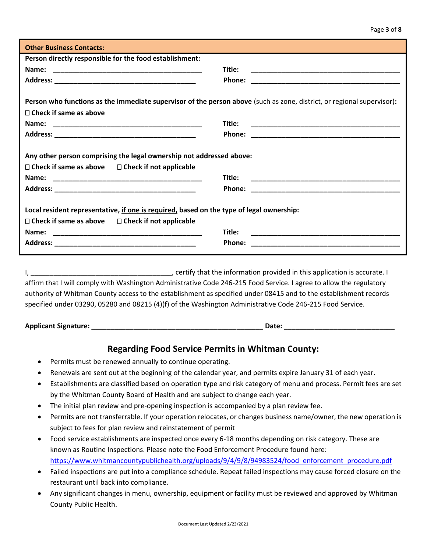| <b>Other Business Contacts:</b>                                                                                                                          |                                                                             |
|----------------------------------------------------------------------------------------------------------------------------------------------------------|-----------------------------------------------------------------------------|
| Person directly responsible for the food establishment:                                                                                                  |                                                                             |
|                                                                                                                                                          | Title:                                                                      |
|                                                                                                                                                          | <b>Phone:</b>                                                               |
| Person who functions as the immediate supervisor of the person above (such as zone, district, or regional supervisor):<br>$\Box$ Check if same as above  |                                                                             |
|                                                                                                                                                          | Title:                                                                      |
|                                                                                                                                                          |                                                                             |
| Any other person comprising the legal ownership not addressed above:                                                                                     |                                                                             |
| $\Box$ Check if same as above $\Box$ Check if not applicable                                                                                             |                                                                             |
| Name:                                                                                                                                                    | Title:                                                                      |
|                                                                                                                                                          |                                                                             |
| Local resident representative, if one is required, based on the type of legal ownership:<br>$\Box$ Check if same as above $\Box$ Check if not applicable |                                                                             |
|                                                                                                                                                          | Title:                                                                      |
|                                                                                                                                                          | Phone:<br><u> 1990 - Johann John Stone, mars eta biztanleria (h. 1900).</u> |
|                                                                                                                                                          |                                                                             |

I, \_\_\_\_\_\_\_\_\_\_\_\_\_\_\_\_\_\_\_\_\_\_\_\_\_\_\_\_\_\_\_\_\_\_\_\_\_, certify that the information provided in this application is accurate. I affirm that I will comply with Washington Administrative Code 246-215 Food Service. I agree to allow the regulatory authority of Whitman County access to the establishment as specified under 08415 and to the establishment records specified under 03290, 05280 and 08215 (4)(f) of the Washington Administrative Code 246-215 Food Service.

**Applicant Signature: \_\_\_\_\_\_\_\_\_\_\_\_\_\_\_\_\_\_\_\_\_\_\_\_\_\_\_\_\_\_\_\_\_\_\_\_\_\_\_\_\_\_\_\_\_ Date: \_\_\_\_\_\_\_\_\_\_\_\_\_\_\_\_\_\_\_\_\_\_\_\_\_\_\_\_\_**

#### **Regarding Food Service Permits in Whitman County:**

- Permits must be renewed annually to continue operating.
- Renewals are sent out at the beginning of the calendar year, and permits expire January 31 of each year.
- Establishments are classified based on operation type and risk category of menu and process. Permit fees are set by the Whitman County Board of Health and are subject to change each year.
- The initial plan review and pre-opening inspection is accompanied by a plan review fee.
- Permits are not transferrable. If your operation relocates, or changes business name/owner, the new operation is subject to fees for plan review and reinstatement of permit
- Food service establishments are inspected once every 6-18 months depending on risk category. These are known as Routine Inspections. Please note the Food Enforcement Procedure found here: [https://www.whitmancountypublichealth.org/uploads/9/4/9/8/94983524/food\\_enforcement\\_procedure.pdf](https://www.whitmancountypublichealth.org/uploads/9/4/9/8/94983524/food_enforcement_procedure.pdf)
- Failed inspections are put into a compliance schedule. Repeat failed inspections may cause forced closure on the restaurant until back into compliance.
- Any significant changes in menu, ownership, equipment or facility must be reviewed and approved by Whitman County Public Health.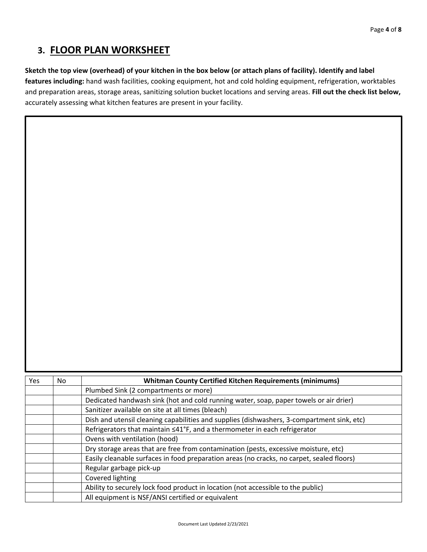## **3. FLOOR PLAN WORKSHEET**

#### **Sketch the top view (overhead) of your kitchen in the box below (or attach plans of facility). Identify and label**

**features including:** hand wash facilities, cooking equipment, hot and cold holding equipment, refrigeration, worktables and preparation areas, storage areas, sanitizing solution bucket locations and serving areas. **Fill out the check list below,**  accurately assessing what kitchen features are present in your facility.

| <b>Yes</b> | No. | <b>Whitman County Certified Kitchen Requirements (minimums)</b>                            |
|------------|-----|--------------------------------------------------------------------------------------------|
|            |     | Plumbed Sink (2 compartments or more)                                                      |
|            |     | Dedicated handwash sink (hot and cold running water, soap, paper towels or air drier)      |
|            |     | Sanitizer available on site at all times (bleach)                                          |
|            |     | Dish and utensil cleaning capabilities and supplies (dishwashers, 3-compartment sink, etc) |
|            |     | Refrigerators that maintain ≤41°F, and a thermometer in each refrigerator                  |
|            |     | Ovens with ventilation (hood)                                                              |
|            |     | Dry storage areas that are free from contamination (pests, excessive moisture, etc)        |
|            |     | Easily cleanable surfaces in food preparation areas (no cracks, no carpet, sealed floors)  |
|            |     | Regular garbage pick-up                                                                    |
|            |     | Covered lighting                                                                           |
|            |     | Ability to securely lock food product in location (not accessible to the public)           |
|            |     | All equipment is NSF/ANSI certified or equivalent                                          |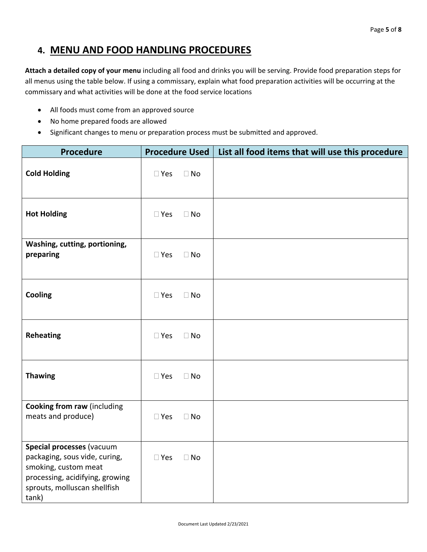### **4. MENU AND FOOD HANDLING PROCEDURES**

**Attach a detailed copy of your menu** including all food and drinks you will be serving. Provide food preparation steps for all menus using the table below. If using a commissary, explain what food preparation activities will be occurring at the commissary and what activities will be done at the food service locations

- All foods must come from an approved source
- No home prepared foods are allowed
- Significant changes to menu or preparation process must be submitted and approved.

| <b>Procedure</b>                                                                                                                                               | <b>Procedure Used</b> |           | List all food items that will use this procedure |
|----------------------------------------------------------------------------------------------------------------------------------------------------------------|-----------------------|-----------|--------------------------------------------------|
| <b>Cold Holding</b>                                                                                                                                            | $\square$ Yes         | $\Box$ No |                                                  |
| <b>Hot Holding</b>                                                                                                                                             | $\square$ Yes         | $\Box$ No |                                                  |
| Washing, cutting, portioning,<br>preparing                                                                                                                     | $\square$ Yes         | $\Box$ No |                                                  |
| Cooling                                                                                                                                                        | $\square$ Yes         | $\Box$ No |                                                  |
| <b>Reheating</b>                                                                                                                                               | $\square$ Yes         | $\Box$ No |                                                  |
| <b>Thawing</b>                                                                                                                                                 | $\square$ Yes         | $\Box$ No |                                                  |
| <b>Cooking from raw (including</b><br>meats and produce)                                                                                                       | $\square$ Yes         | $\Box$ No |                                                  |
| Special processes (vacuum<br>packaging, sous vide, curing,<br>smoking, custom meat<br>processing, acidifying, growing<br>sprouts, molluscan shellfish<br>tank) | $\square$ Yes         | $\Box$ No |                                                  |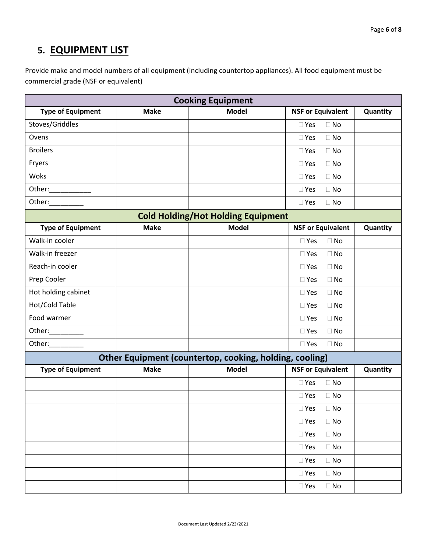# **5. EQUIPMENT LIST**

Provide make and model numbers of all equipment (including countertop appliances). All food equipment must be commercial grade (NSF or equivalent)

| <b>Cooking Equipment</b> |                                                         |                                           |                            |          |  |  |
|--------------------------|---------------------------------------------------------|-------------------------------------------|----------------------------|----------|--|--|
| <b>Type of Equipment</b> | <b>Make</b>                                             | <b>Model</b>                              | <b>NSF or Equivalent</b>   | Quantity |  |  |
| Stoves/Griddles          |                                                         |                                           | $\Box$ Yes<br>$\Box$ No    |          |  |  |
| Ovens                    |                                                         |                                           | $\Box$ No<br>$\Box$ Yes    |          |  |  |
| <b>Broilers</b>          |                                                         |                                           | $\square$ Yes<br>$\Box$ No |          |  |  |
| Fryers                   |                                                         |                                           | $\Box$ No<br>$\Box$ Yes    |          |  |  |
| Woks                     |                                                         |                                           | $\Box$ No<br>$\Box$ Yes    |          |  |  |
|                          |                                                         |                                           | $\Box$ No<br>$\Box$ Yes    |          |  |  |
| Other:__________         |                                                         |                                           | $\Box$ No<br>$\Box$ Yes    |          |  |  |
|                          |                                                         | <b>Cold Holding/Hot Holding Equipment</b> |                            |          |  |  |
| <b>Type of Equipment</b> | <b>Make</b>                                             | <b>Model</b>                              | <b>NSF or Equivalent</b>   | Quantity |  |  |
| Walk-in cooler           |                                                         |                                           | $\Box$ Yes<br>$\Box$ No    |          |  |  |
| Walk-in freezer          |                                                         |                                           | $\Box$ No<br>$\Box$ Yes    |          |  |  |
| Reach-in cooler          |                                                         |                                           | $\Box$ No<br>$\Box$ Yes    |          |  |  |
| Prep Cooler              |                                                         |                                           | $\Box$ Yes<br>$\Box$ No    |          |  |  |
| Hot holding cabinet      |                                                         |                                           | $\Box$ Yes<br>$\Box$ No    |          |  |  |
| Hot/Cold Table           |                                                         |                                           | $\Box$ No<br>$\Box$ Yes    |          |  |  |
| Food warmer              |                                                         |                                           | $\Box$ No<br>$\Box$ Yes    |          |  |  |
| Other:__________         |                                                         |                                           | $\Box$ No<br>$\Box$ Yes    |          |  |  |
| Other:__________         |                                                         |                                           | $\Box$ Yes<br>$\Box$ No    |          |  |  |
|                          | Other Equipment (countertop, cooking, holding, cooling) |                                           |                            |          |  |  |
| <b>Type of Equipment</b> | <b>Make</b>                                             | <b>Model</b>                              | <b>NSF or Equivalent</b>   | Quantity |  |  |
|                          |                                                         |                                           | $\Box$ Yes<br>$\Box$ No    |          |  |  |
|                          |                                                         |                                           | $\Box$ Yes<br>$\Box$ No    |          |  |  |
|                          |                                                         |                                           | $\square$ Yes<br>$\Box$ No |          |  |  |
|                          |                                                         |                                           | $\square$ Yes<br>$\Box$ No |          |  |  |
|                          |                                                         |                                           | $\square$ Yes<br>$\Box$ No |          |  |  |
|                          |                                                         |                                           | $\square$ Yes<br>$\Box$ No |          |  |  |
|                          |                                                         |                                           | $\square$ Yes<br>$\Box$ No |          |  |  |
|                          |                                                         |                                           | $\square$ Yes<br>$\Box$ No |          |  |  |
|                          |                                                         |                                           | $\Box$ No<br>$\square$ Yes |          |  |  |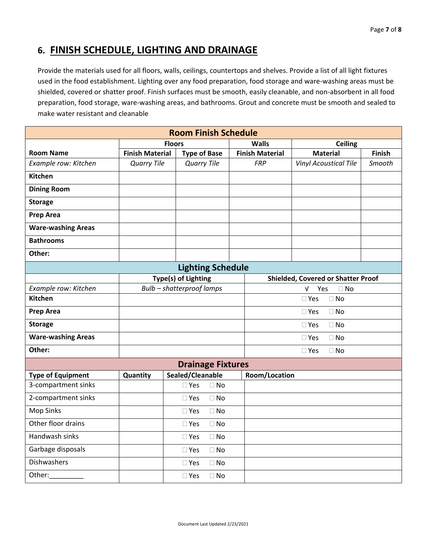### **6. FINISH SCHEDULE, LIGHTING AND DRAINAGE**

Provide the materials used for all floors, walls, ceilings, countertops and shelves. Provide a list of all light fixtures used in the food establishment. Lighting over any food preparation, food storage and ware-washing areas must be shielded, covered or shatter proof. Finish surfaces must be smooth, easily cleanable, and non-absorbent in all food preparation, food storage, ware-washing areas, and bathrooms. Grout and concrete must be smooth and sealed to make water resistant and cleanable

| <b>Room Finish Schedule</b> |                        |                            |                        |                                           |               |  |
|-----------------------------|------------------------|----------------------------|------------------------|-------------------------------------------|---------------|--|
|                             | <b>Floors</b>          |                            | <b>Walls</b>           | <b>Ceiling</b>                            |               |  |
| <b>Room Name</b>            | <b>Finish Material</b> | <b>Type of Base</b>        | <b>Finish Material</b> | <b>Material</b>                           | <b>Finish</b> |  |
| Example row: Kitchen        | <b>Quarry Tile</b>     | <b>Quarry Tile</b>         | <b>FRP</b>             | <b>Vinyl Acoustical Tile</b>              | Smooth        |  |
| <b>Kitchen</b>              |                        |                            |                        |                                           |               |  |
| <b>Dining Room</b>          |                        |                            |                        |                                           |               |  |
| <b>Storage</b>              |                        |                            |                        |                                           |               |  |
| <b>Prep Area</b>            |                        |                            |                        |                                           |               |  |
| <b>Ware-washing Areas</b>   |                        |                            |                        |                                           |               |  |
| <b>Bathrooms</b>            |                        |                            |                        |                                           |               |  |
| Other:                      |                        |                            |                        |                                           |               |  |
|                             |                        | <b>Lighting Schedule</b>   |                        |                                           |               |  |
|                             |                        | Type(s) of Lighting        |                        | <b>Shielded, Covered or Shatter Proof</b> |               |  |
| Example row: Kitchen        |                        | Bulb - shatterproof lamps  |                        | $\sqrt{ }$<br>Yes<br>$\Box$ No            |               |  |
| <b>Kitchen</b>              |                        |                            |                        | $\Box$ No<br>$\square$ Yes                |               |  |
| <b>Prep Area</b>            |                        |                            |                        | $\Box$ Yes<br>$\Box$ No                   |               |  |
| <b>Storage</b>              |                        |                            |                        | $\Box$ No<br>$\square$ Yes                |               |  |
| <b>Ware-washing Areas</b>   |                        |                            |                        | $\square$ Yes<br>$\Box$ No                |               |  |
| Other:                      |                        |                            |                        | $\square$ Yes<br>$\Box$ No                |               |  |
|                             |                        | <b>Drainage Fixtures</b>   |                        |                                           |               |  |
| <b>Type of Equipment</b>    | Quantity               | Sealed/Cleanable           | <b>Room/Location</b>   |                                           |               |  |
| 3-compartment sinks         |                        | $\square$ Yes<br>$\Box$ No |                        |                                           |               |  |
| 2-compartment sinks         |                        | $\Box$ No<br>$\square$ Yes |                        |                                           |               |  |
| <b>Mop Sinks</b>            |                        | $\Box$ No<br>$\square$ Yes |                        |                                           |               |  |
| Other floor drains          |                        | $\square$ Yes<br>$\Box$ No |                        |                                           |               |  |
| Handwash sinks              |                        | $\Box$ No<br>$\Box$ Yes    |                        |                                           |               |  |
| Garbage disposals           |                        | $\square$ Yes<br>$\Box$ No |                        |                                           |               |  |
| <b>Dishwashers</b>          |                        | $\Box$ Yes<br>$\square$ No |                        |                                           |               |  |
| Other:                      |                        | $\Box$ No<br>$\square$ Yes |                        |                                           |               |  |